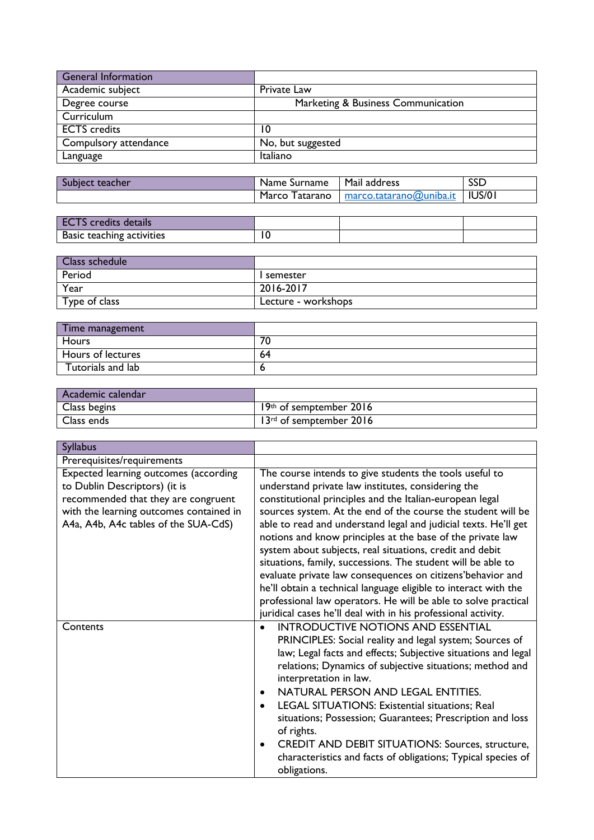| <b>General Information</b> |                                    |
|----------------------------|------------------------------------|
| Academic subject           | Private Law                        |
| Degree course              | Marketing & Business Communication |
| Curriculum                 |                                    |
| <b>ECTS</b> credits        | 10                                 |
| Compulsory attendance      | No, but suggested                  |
| Language                   | Italiano                           |

| teacher | Name .           | Mail J  | <b>SSD</b>    |
|---------|------------------|---------|---------------|
| песь.   | Surname          | address |               |
|         | Marco<br>atarano |         | <b>IUS/01</b> |

| details<br>credits        |  |  |
|---------------------------|--|--|
| Basic teaching activities |  |  |

| Class schedule |                     |
|----------------|---------------------|
| Period         | l semester          |
| Year           | 2016-2017           |
| Type of class  | Lecture - workshops |

| Time management          |    |
|--------------------------|----|
| Hours                    | 70 |
| <b>Hours of lectures</b> | 64 |
| Tutorials and lab        |    |

| Academic calendar |                         |
|-------------------|-------------------------|
| Class begins      | 19th of semptember 2016 |
| Class ends        | 13rd of semptember 2016 |

| <b>Syllabus</b>                                                                                                                                                                                  |                                                                                                                                                                                                                                                                                                                                                                                                                                                                                                                                                                                                                                                                                                                                                                            |
|--------------------------------------------------------------------------------------------------------------------------------------------------------------------------------------------------|----------------------------------------------------------------------------------------------------------------------------------------------------------------------------------------------------------------------------------------------------------------------------------------------------------------------------------------------------------------------------------------------------------------------------------------------------------------------------------------------------------------------------------------------------------------------------------------------------------------------------------------------------------------------------------------------------------------------------------------------------------------------------|
| Prerequisites/requirements                                                                                                                                                                       |                                                                                                                                                                                                                                                                                                                                                                                                                                                                                                                                                                                                                                                                                                                                                                            |
| Expected learning outcomes (according<br>to Dublin Descriptors) (it is<br>recommended that they are congruent<br>with the learning outcomes contained in<br>A4a, A4b, A4c tables of the SUA-CdS) | The course intends to give students the tools useful to<br>understand private law institutes, considering the<br>constitutional principles and the Italian-european legal<br>sources system. At the end of the course the student will be<br>able to read and understand legal and judicial texts. He'll get<br>notions and know principles at the base of the private law<br>system about subjects, real situations, credit and debit<br>situations, family, successions. The student will be able to<br>evaluate private law consequences on citizens'behavior and<br>he'll obtain a technical language eligible to interact with the<br>professional law operators. He will be able to solve practical<br>juridical cases he'll deal with in his professional activity. |
| Contents                                                                                                                                                                                         | <b>INTRODUCTIVE NOTIONS AND ESSENTIAL</b><br>PRINCIPLES: Social reality and legal system; Sources of<br>law; Legal facts and effects; Subjective situations and legal<br>relations; Dynamics of subjective situations; method and<br>interpretation in law.<br>NATURAL PERSON AND LEGAL ENTITIES.<br>$\bullet$<br>LEGAL SITUATIONS: Existential situations; Real<br>situations; Possession; Guarantees; Prescription and loss<br>of rights.<br><b>CREDIT AND DEBIT SITUATIONS: Sources, structure,</b><br>$\bullet$<br>characteristics and facts of obligations; Typical species of<br>obligations.                                                                                                                                                                        |